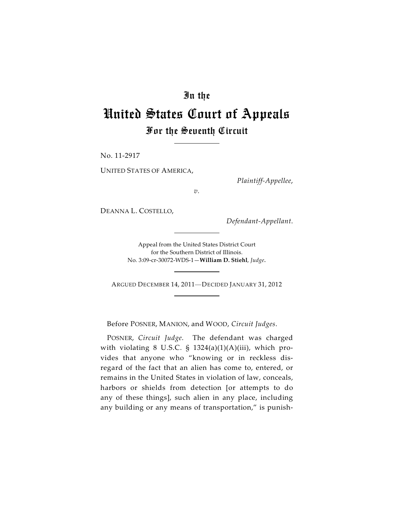## In the

## United States Court of Appeals For the Seventh Circuit

No. 11-2917

UNITED STATES OF AMERICA,

*Plaintiff-Appellee*,

*v.*

DEANNA L. COSTELLO,

*Defendant-Appellant*.

Appeal from the United States District Court for the Southern District of Illinois. No. 3:09-cr-30072-WDS-1—**William D. Stiehl**, *Judge*.

ARGUED DECEMBER 14, 2011—DECIDED JANUARY 31, 2012

Before POSNER, MANION, and WOOD, *Circuit Judges*.

POSNER, *Circuit Judge*. The defendant was charged with violating 8 U.S.C. §  $1324(a)(1)(A)(iii)$ , which provides that anyone who "knowing or in reckless disregard of the fact that an alien has come to, entered, or remains in the United States in violation of law, conceals, harbors or shields from detection [or attempts to do any of these things], such alien in any place, including any building or any means of transportation," is punish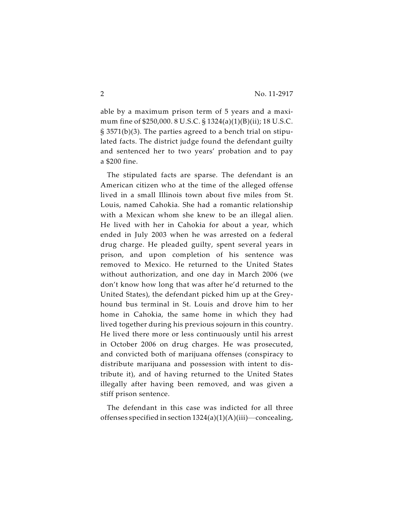able by a maximum prison term of 5 years and a maximum fine of \$250,000. 8 U.S.C. § 1324(a)(1)(B)(ii); 18 U.S.C. § 3571(b)(3). The parties agreed to a bench trial on stipulated facts. The district judge found the defendant guilty and sentenced her to two years' probation and to pay a \$200 fine.

The stipulated facts are sparse. The defendant is an American citizen who at the time of the alleged offense lived in a small Illinois town about five miles from St. Louis, named Cahokia. She had a romantic relationship with a Mexican whom she knew to be an illegal alien. He lived with her in Cahokia for about a year, which ended in July 2003 when he was arrested on a federal drug charge. He pleaded guilty, spent several years in prison, and upon completion of his sentence was removed to Mexico. He returned to the United States without authorization, and one day in March 2006 (we don't know how long that was after he'd returned to the United States), the defendant picked him up at the Greyhound bus terminal in St. Louis and drove him to her home in Cahokia, the same home in which they had lived together during his previous sojourn in this country. He lived there more or less continuously until his arrest in October 2006 on drug charges. He was prosecuted, and convicted both of marijuana offenses (conspiracy to distribute marijuana and possession with intent to distribute it), and of having returned to the United States illegally after having been removed, and was given a stiff prison sentence.

The defendant in this case was indicted for all three offenses specified in section  $1324(a)(1)(A)(iii)$ —concealing,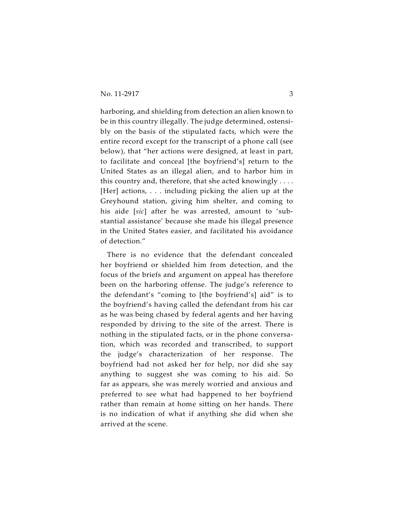harboring, and shielding from detection an alien known to be in this country illegally. The judge determined, ostensibly on the basis of the stipulated facts, which were the entire record except for the transcript of a phone call (see below), that "her actions were designed, at least in part, to facilitate and conceal [the boyfriend's] return to the United States as an illegal alien, and to harbor him in this country and, therefore, that she acted knowingly . . . . [Her] actions, . . . including picking the alien up at the Greyhound station, giving him shelter, and coming to his aide [*sic*] after he was arrested, amount to 'substantial assistance' because she made his illegal presence in the United States easier, and facilitated his avoidance of detection."

There is no evidence that the defendant concealed her boyfriend or shielded him from detection, and the focus of the briefs and argument on appeal has therefore been on the harboring offense. The judge's reference to the defendant's "coming to [the boyfriend's] aid" is to the boyfriend's having called the defendant from his car as he was being chased by federal agents and her having responded by driving to the site of the arrest. There is nothing in the stipulated facts, or in the phone conversation, which was recorded and transcribed, to support the judge's characterization of her response. The boyfriend had not asked her for help, nor did she say anything to suggest she was coming to his aid. So far as appears, she was merely worried and anxious and preferred to see what had happened to her boyfriend rather than remain at home sitting on her hands. There is no indication of what if anything she did when she arrived at the scene.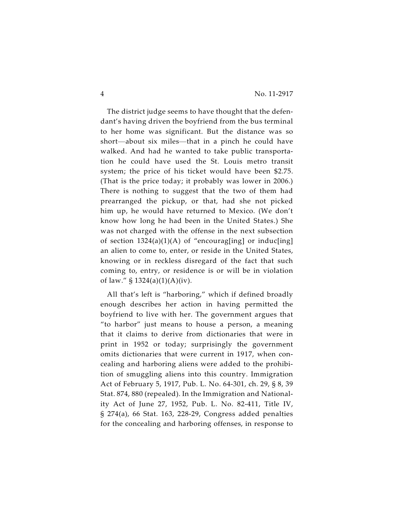The district judge seems to have thought that the defendant's having driven the boyfriend from the bus terminal to her home was significant. But the distance was so short—about six miles—that in a pinch he could have walked. And had he wanted to take public transportation he could have used the St. Louis metro transit system; the price of his ticket would have been \$2.75. (That is the price today; it probably was lower in 2006.) There is nothing to suggest that the two of them had prearranged the pickup, or that, had she not picked him up, he would have returned to Mexico. (We don't know how long he had been in the United States.) She was not charged with the offense in the next subsection of section  $1324(a)(1)(A)$  of "encourag[ing] or induc[ing] an alien to come to, enter, or reside in the United States, knowing or in reckless disregard of the fact that such coming to, entry, or residence is or will be in violation of law."  $$ 1324(a)(1)(A)(iv)$ .

All that's left is "harboring," which if defined broadly enough describes her action in having permitted the boyfriend to live with her. The government argues that "to harbor" just means to house a person, a meaning that it claims to derive from dictionaries that were in print in 1952 or today; surprisingly the government omits dictionaries that were current in 1917, when concealing and harboring aliens were added to the prohibition of smuggling aliens into this country. Immigration Act of February 5, 1917, Pub. L. No. 64-301, ch. 29, § 8, 39 Stat. 874, 880 (repealed). In the Immigration and Nationality Act of June 27, 1952, Pub. L. No. 82-411, Title IV, § 274(a), 66 Stat. 163, 228-29, Congress added penalties for the concealing and harboring offenses, in response to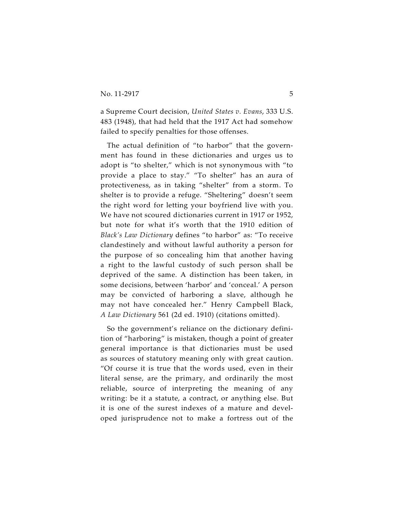a Supreme Court decision, *United States v. Evans*, 333 U.S. 483 (1948), that had held that the 1917 Act had somehow failed to specify penalties for those offenses.

The actual definition of "to harbor" that the government has found in these dictionaries and urges us to adopt is "to shelter," which is not synonymous with "to provide a place to stay." "To shelter" has an aura of protectiveness, as in taking "shelter" from a storm. To shelter is to provide a refuge. "Sheltering" doesn't seem the right word for letting your boyfriend live with you. We have not scoured dictionaries current in 1917 or 1952, but note for what it's worth that the 1910 edition of *Black's Law Dictionary* defines "to harbor" as: "To receive clandestinely and without lawful authority a person for the purpose of so concealing him that another having a right to the lawful custody of such person shall be deprived of the same. A distinction has been taken, in some decisions, between 'harbor' and 'conceal.' A person may be convicted of harboring a slave, although he may not have concealed her." Henry Campbell Black, *A Law Dictionary* 561 (2d ed. 1910) (citations omitted).

So the government's reliance on the dictionary definition of "harboring" is mistaken, though a point of greater general importance is that dictionaries must be used as sources of statutory meaning only with great caution. "Of course it is true that the words used, even in their literal sense, are the primary, and ordinarily the most reliable, source of interpreting the meaning of any writing: be it a statute, a contract, or anything else. But it is one of the surest indexes of a mature and developed jurisprudence not to make a fortress out of the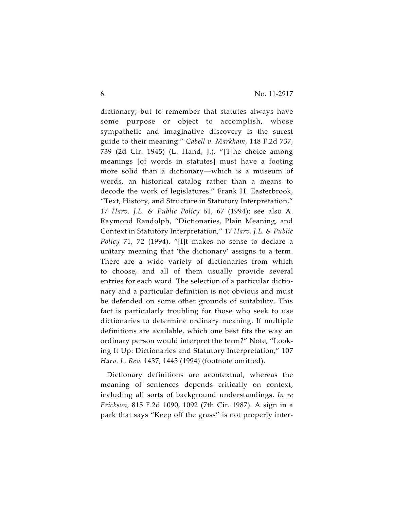dictionary; but to remember that statutes always have some purpose or object to accomplish, whose sympathetic and imaginative discovery is the surest guide to their meaning." *Cabell v. Markham*, 148 F.2d 737, 739 (2d Cir. 1945) (L. Hand, J.). "[T]he choice among meanings [of words in statutes] must have a footing more solid than a dictionary—which is a museum of words, an historical catalog rather than a means to decode the work of legislatures." Frank H. Easterbrook, "Text, History, and Structure in Statutory Interpretation," 17 *Harv. J.L. & Public Policy* 61, 67 (1994); see also A. Raymond Randolph, "Dictionaries, Plain Meaning, and Context in Statutory Interpretation," 17 *Harv. J.L. & Public Policy* 71, 72 (1994). "[I]t makes no sense to declare a unitary meaning that 'the dictionary' assigns to a term. There are a wide variety of dictionaries from which to choose, and all of them usually provide several entries for each word. The selection of a particular dictionary and a particular definition is not obvious and must be defended on some other grounds of suitability. This fact is particularly troubling for those who seek to use dictionaries to determine ordinary meaning. If multiple definitions are available, which one best fits the way an ordinary person would interpret the term?" Note, "Looking It Up: Dictionaries and Statutory Interpretation," 107 *Harv. L. Rev.* 1437, 1445 (1994) (footnote omitted).

Dictionary definitions are acontextual, whereas the meaning of sentences depends critically on context, including all sorts of background understandings. *In re Erickson*, 815 F.2d 1090, 1092 (7th Cir. 1987). A sign in a park that says "Keep off the grass" is not properly inter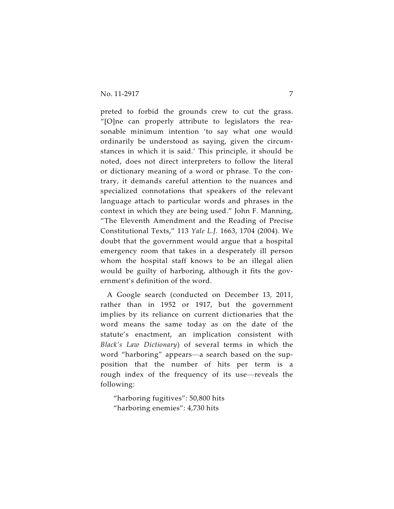preted to forbid the grounds crew to cut the grass. "[O]ne can properly attribute to legislators the reasonable minimum intention 'to say what one would ordinarily be understood as saying, given the circumstances in which it is said.' This principle, it should be noted, does not direct interpreters to follow the literal or dictionary meaning of a word or phrase. To the contrary, it demands careful attention to the nuances and specialized connotations that speakers of the relevant language attach to particular words and phrases in the context in which they are being used." John F. Manning, "The Eleventh Amendment and the Reading of Precise Constitutional Texts," 113 *Yale L.J.* 1663, 1704 (2004). We doubt that the government would argue that a hospital emergency room that takes in a desperately ill person whom the hospital staff knows to be an illegal alien would be guilty of harboring, although it fits the government's definition of the word.

A Google search (conducted on December 13, 2011, rather than in 1952 or 1917, but the government implies by its reliance on current dictionaries that the word means the same today as on the date of the statute's enactment, an implication consistent with *Black's Law Dictionary*) of several terms in which the word "harboring" appears—a search based on the supposition that the number of hits per term is a rough index of the frequency of its use—reveals the following:

"harboring fugitives": 50,800 hits "harboring enemies": 4,730 hits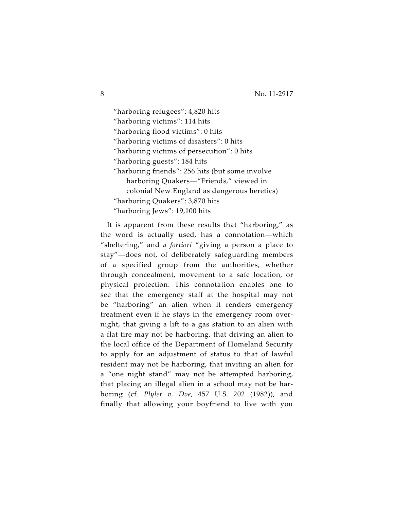"harboring refugees": 4,820 hits "harboring victims": 114 hits "harboring flood victims": 0 hits "harboring victims of disasters": 0 hits "harboring victims of persecution": 0 hits "harboring guests": 184 hits "harboring friends": 256 hits (but some involve harboring Quakers—"Friends," viewed in colonial New England as dangerous heretics) "harboring Quakers": 3,870 hits "harboring Jews": 19,100 hits

It is apparent from these results that "harboring," as the word is actually used, has a connotation—which "sheltering," and *a fortiori* "giving a person a place to stay"—does not, of deliberately safeguarding members of a specified group from the authorities, whether through concealment, movement to a safe location, or physical protection. This connotation enables one to see that the emergency staff at the hospital may not be "harboring" an alien when it renders emergency treatment even if he stays in the emergency room overnight, that giving a lift to a gas station to an alien with a flat tire may not be harboring, that driving an alien to the local office of the Department of Homeland Security to apply for an adjustment of status to that of lawful resident may not be harboring, that inviting an alien for a "one night stand" may not be attempted harboring, that placing an illegal alien in a school may not be harboring (cf. *Plyler v. Doe*, 457 U.S. 202 (1982)), and finally that allowing your boyfriend to live with you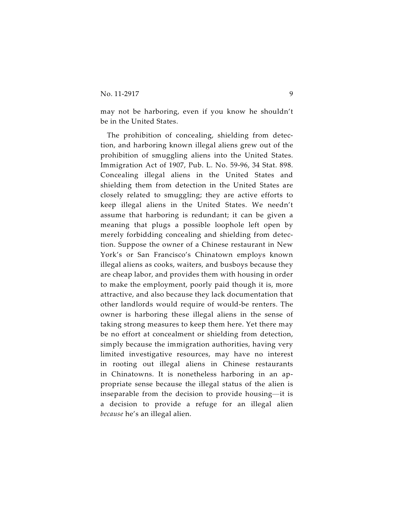may not be harboring, even if you know he shouldn't be in the United States.

The prohibition of concealing, shielding from detection, and harboring known illegal aliens grew out of the prohibition of smuggling aliens into the United States. Immigration Act of 1907, Pub. L. No. 59-96, 34 Stat. 898. Concealing illegal aliens in the United States and shielding them from detection in the United States are closely related to smuggling; they are active efforts to keep illegal aliens in the United States. We needn't assume that harboring is redundant; it can be given a meaning that plugs a possible loophole left open by merely forbidding concealing and shielding from detection. Suppose the owner of a Chinese restaurant in New York's or San Francisco's Chinatown employs known illegal aliens as cooks, waiters, and busboys because they are cheap labor, and provides them with housing in order to make the employment, poorly paid though it is, more attractive, and also because they lack documentation that other landlords would require of would-be renters. The owner is harboring these illegal aliens in the sense of taking strong measures to keep them here. Yet there may be no effort at concealment or shielding from detection, simply because the immigration authorities, having very limited investigative resources, may have no interest in rooting out illegal aliens in Chinese restaurants in Chinatowns. It is nonetheless harboring in an appropriate sense because the illegal status of the alien is inseparable from the decision to provide housing—it is a decision to provide a refuge for an illegal alien *because* he's an illegal alien.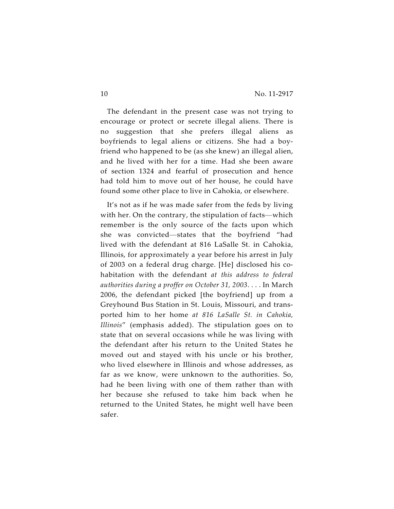The defendant in the present case was not trying to encourage or protect or secrete illegal aliens. There is no suggestion that she prefers illegal aliens as boyfriends to legal aliens or citizens. She had a boyfriend who happened to be (as she knew) an illegal alien, and he lived with her for a time. Had she been aware of section 1324 and fearful of prosecution and hence had told him to move out of her house, he could have found some other place to live in Cahokia, or elsewhere.

It's not as if he was made safer from the feds by living with her. On the contrary, the stipulation of facts—which remember is the only source of the facts upon which she was convicted—states that the boyfriend "had lived with the defendant at 816 LaSalle St. in Cahokia, Illinois, for approximately a year before his arrest in July of 2003 on a federal drug charge. [He] disclosed his cohabitation with the defendant *at this address to federal authorities during a proffer on October 31, 2003*. . . . In March 2006, the defendant picked [the boyfriend] up from a Greyhound Bus Station in St. Louis, Missouri, and transported him to her home *at 816 LaSalle St. in Cahokia, Illinois*" (emphasis added). The stipulation goes on to state that on several occasions while he was living with the defendant after his return to the United States he moved out and stayed with his uncle or his brother, who lived elsewhere in Illinois and whose addresses, as far as we know, were unknown to the authorities. So, had he been living with one of them rather than with her because she refused to take him back when he returned to the United States, he might well have been safer.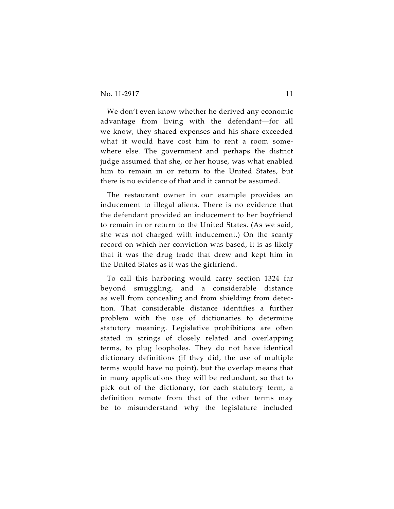We don't even know whether he derived any economic advantage from living with the defendant—for all we know, they shared expenses and his share exceeded what it would have cost him to rent a room somewhere else. The government and perhaps the district judge assumed that she, or her house, was what enabled him to remain in or return to the United States, but there is no evidence of that and it cannot be assumed.

The restaurant owner in our example provides an inducement to illegal aliens. There is no evidence that the defendant provided an inducement to her boyfriend to remain in or return to the United States. (As we said, she was not charged with inducement.) On the scanty record on which her conviction was based, it is as likely that it was the drug trade that drew and kept him in the United States as it was the girlfriend.

To call this harboring would carry section 1324 far beyond smuggling, and a considerable distance as well from concealing and from shielding from detection. That considerable distance identifies a further problem with the use of dictionaries to determine statutory meaning. Legislative prohibitions are often stated in strings of closely related and overlapping terms, to plug loopholes. They do not have identical dictionary definitions (if they did, the use of multiple terms would have no point), but the overlap means that in many applications they will be redundant, so that to pick out of the dictionary, for each statutory term, a definition remote from that of the other terms may be to misunderstand why the legislature included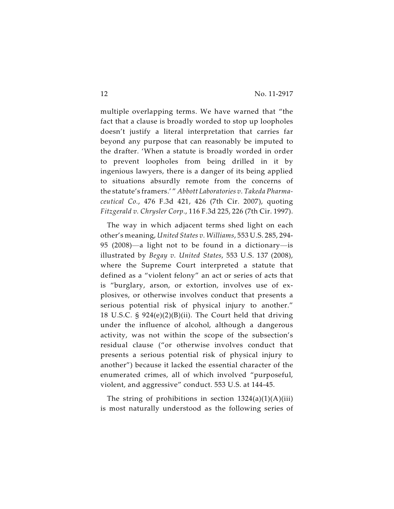multiple overlapping terms. We have warned that "the fact that a clause is broadly worded to stop up loopholes doesn't justify a literal interpretation that carries far beyond any purpose that can reasonably be imputed to the drafter. 'When a statute is broadly worded in order to prevent loopholes from being drilled in it by ingenious lawyers, there is a danger of its being applied to situations absurdly remote from the concerns of the statute's framers.' " *Abbott Laboratories v. Takeda Pharmaceutical Co.*, 476 F.3d 421, 426 (7th Cir. 2007), quoting *Fitzgerald v. Chrysler Corp.*, 116 F.3d 225, 226 (7th Cir. 1997).

The way in which adjacent terms shed light on each other's meaning, *United States v. Williams*, 553 U.S. 285, 294- 95 (2008)—a light not to be found in a dictionary—is illustrated by *Begay v. United States*, 553 U.S. 137 (2008), where the Supreme Court interpreted a statute that defined as a "violent felony" an act or series of acts that is "burglary, arson, or extortion, involves use of explosives, or otherwise involves conduct that presents a serious potential risk of physical injury to another." 18 U.S.C. § 924(e)(2)(B)(ii). The Court held that driving under the influence of alcohol, although a dangerous activity, was not within the scope of the subsection's residual clause ("or otherwise involves conduct that presents a serious potential risk of physical injury to another") because it lacked the essential character of the enumerated crimes, all of which involved "purposeful, violent, and aggressive" conduct. 553 U.S. at 144-45.

The string of prohibitions in section  $1324(a)(1)(A)(iii)$ is most naturally understood as the following series of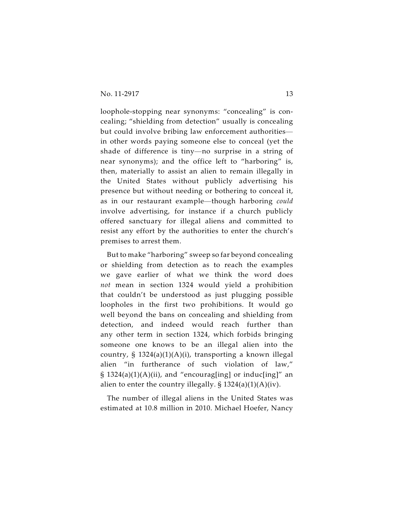loophole-stopping near synonyms: "concealing" is concealing; "shielding from detection" usually is concealing but could involve bribing law enforcement authorities in other words paying someone else to conceal (yet the shade of difference is tiny—no surprise in a string of near synonyms); and the office left to "harboring" is, then, materially to assist an alien to remain illegally in the United States without publicly advertising his presence but without needing or bothering to conceal it, as in our restaurant example—though harboring *could* involve advertising, for instance if a church publicly offered sanctuary for illegal aliens and committed to resist any effort by the authorities to enter the church's premises to arrest them.

But to make "harboring" sweep so far beyond concealing or shielding from detection as to reach the examples we gave earlier of what we think the word does *not* mean in section 1324 would yield a prohibition that couldn't be understood as just plugging possible loopholes in the first two prohibitions. It would go well beyond the bans on concealing and shielding from detection, and indeed would reach further than any other term in section 1324, which forbids bringing someone one knows to be an illegal alien into the country, § 1324(a)(1)(A)(i), transporting a known illegal alien "in furtherance of such violation of law,"  $\S$  1324(a)(1)(A)(ii), and "encourag[ing] or induc[ing]" an alien to enter the country illegally.  $\S 1324(a)(1)(A)(iv)$ .

The number of illegal aliens in the United States was estimated at 10.8 million in 2010. Michael Hoefer, Nancy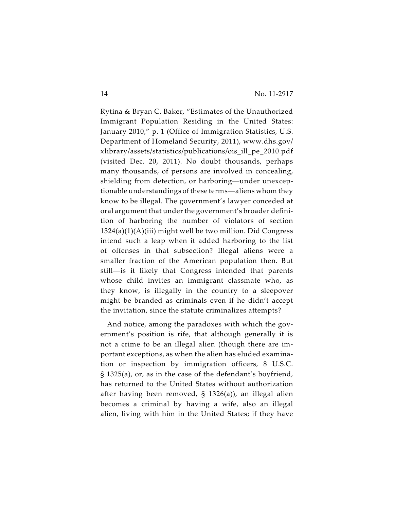Rytina & Bryan C. Baker, "Estimates of the Unauthorized Immigrant Population Residing in the United States: January 2010," p. 1 (Office of Immigration Statistics, U.S. Department of Homeland Security, 2011), www.dhs.gov/ xlibrary/assets/statistics/publications/ois\_ill\_pe\_2010.pdf (visited Dec. 20, 2011). No doubt thousands, perhaps many thousands, of persons are involved in concealing, shielding from detection, or harboring—under unexceptionable understandings of these terms—aliens whom they know to be illegal. The government's lawyer conceded at oral argument that under the government's broader definition of harboring the number of violators of section 1324(a)(1)(A)(iii) might well be two million. Did Congress intend such a leap when it added harboring to the list of offenses in that subsection? Illegal aliens were a smaller fraction of the American population then. But still—is it likely that Congress intended that parents whose child invites an immigrant classmate who, as they know, is illegally in the country to a sleepover might be branded as criminals even if he didn't accept the invitation, since the statute criminalizes attempts?

And notice, among the paradoxes with which the government's position is rife, that although generally it is not a crime to be an illegal alien (though there are important exceptions, as when the alien has eluded examination or inspection by immigration officers, 8 U.S.C. § 1325(a), or, as in the case of the defendant's boyfriend, has returned to the United States without authorization after having been removed, § 1326(a)), an illegal alien becomes a criminal by having a wife, also an illegal alien, living with him in the United States; if they have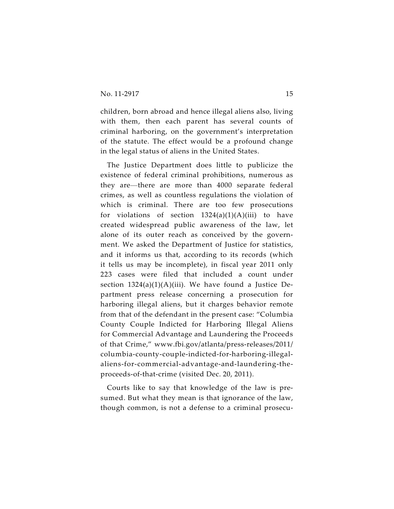children, born abroad and hence illegal aliens also, living with them, then each parent has several counts of criminal harboring, on the government's interpretation of the statute. The effect would be a profound change in the legal status of aliens in the United States.

The Justice Department does little to publicize the existence of federal criminal prohibitions, numerous as they are—there are more than 4000 separate federal crimes, as well as countless regulations the violation of which is criminal. There are too few prosecutions for violations of section  $1324(a)(1)(A)(iii)$  to have created widespread public awareness of the law, let alone of its outer reach as conceived by the government. We asked the Department of Justice for statistics, and it informs us that, according to its records (which it tells us may be incomplete), in fiscal year 2011 only 223 cases were filed that included a count under section  $1324(a)(1)(A)(iii)$ . We have found a Justice Department press release concerning a prosecution for harboring illegal aliens, but it charges behavior remote from that of the defendant in the present case: "Columbia County Couple Indicted for Harboring Illegal Aliens for Commercial Advantage and Laundering the Proceeds of that Crime," www.fbi.gov/atlanta/press-releases/2011/ columbia-county-couple-indicted-for-harboring-illegalaliens-for-commercial-advantage-and-laundering-theproceeds-of-that-crime (visited Dec. 20, 2011).

Courts like to say that knowledge of the law is presumed. But what they mean is that ignorance of the law, though common, is not a defense to a criminal prosecu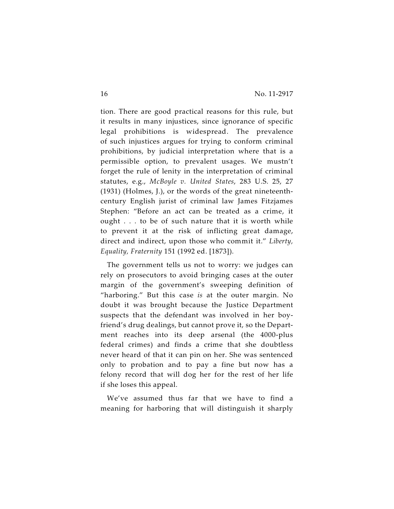tion. There are good practical reasons for this rule, but it results in many injustices, since ignorance of specific legal prohibitions is widespread. The prevalence of such injustices argues for trying to conform criminal prohibitions, by judicial interpretation where that is a permissible option, to prevalent usages. We mustn't forget the rule of lenity in the interpretation of criminal statutes, e.g., *McBoyle v. United States*, 283 U.S. 25, 27 (1931) (Holmes, J.), or the words of the great nineteenthcentury English jurist of criminal law James Fitzjames Stephen: "Before an act can be treated as a crime, it ought . . . to be of such nature that it is worth while to prevent it at the risk of inflicting great damage, direct and indirect, upon those who commit it." *Liberty, Equality, Fraternity* 151 (1992 ed. [1873]).

The government tells us not to worry: we judges can rely on prosecutors to avoid bringing cases at the outer margin of the government's sweeping definition of "harboring." But this case *is* at the outer margin. No doubt it was brought because the Justice Department suspects that the defendant was involved in her boyfriend's drug dealings, but cannot prove it, so the Department reaches into its deep arsenal (the 4000-plus federal crimes) and finds a crime that she doubtless never heard of that it can pin on her. She was sentenced only to probation and to pay a fine but now has a felony record that will dog her for the rest of her life if she loses this appeal.

We've assumed thus far that we have to find a meaning for harboring that will distinguish it sharply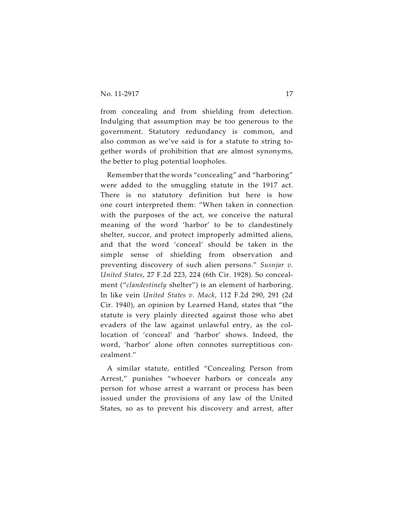from concealing and from shielding from detection. Indulging that assumption may be too generous to the government. Statutory redundancy is common, and also common as we've said is for a statute to string together words of prohibition that are almost synonyms, the better to plug potential loopholes.

Remember that the words "concealing" and "harboring" were added to the smuggling statute in the 1917 act. There is no statutory definition but here is how one court interpreted them: "When taken in connection with the purposes of the act, we conceive the natural meaning of the word 'harbor' to be to clandestinely shelter, succor, and protect improperly admitted aliens, and that the word 'conceal' should be taken in the simple sense of shielding from observation and preventing discovery of such alien persons." *Susnjar v. United States*, 27 F.2d 223, 224 (6th Cir. 1928). So concealment ("*clandestinely* shelter") is an element of harboring. In like vein *United States v. Mack*, 112 F.2d 290, 291 (2d Cir. 1940), an opinion by Learned Hand, states that "the statute is very plainly directed against those who abet evaders of the law against unlawful entry, as the collocation of 'conceal' and 'harbor' shows. Indeed, the word, 'harbor' alone often connotes surreptitious concealment."

A similar statute, entitled "Concealing Person from Arrest," punishes "whoever harbors or conceals any person for whose arrest a warrant or process has been issued under the provisions of any law of the United States, so as to prevent his discovery and arrest, after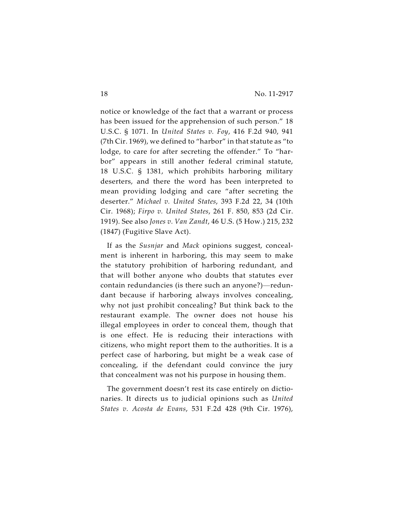notice or knowledge of the fact that a warrant or process has been issued for the apprehension of such person." 18 U.S.C. § 1071. In *United States v. Foy*, 416 F.2d 940, 941 (7th Cir. 1969), we defined to "harbor" in that statute as "to lodge, to care for after secreting the offender." To "harbor" appears in still another federal criminal statute, 18 U.S.C. § 1381, which prohibits harboring military deserters, and there the word has been interpreted to mean providing lodging and care "after secreting the deserter." *Michael v. United States*, 393 F.2d 22, 34 (10th Cir. 1968); *Firpo v. United States*, 261 F. 850, 853 (2d Cir. 1919). See also *Jones v. Van Zandt*, 46 U.S. (5 How.) 215, 232 (1847) (Fugitive Slave Act).

If as the *Susnjar* and *Mack* opinions suggest, concealment is inherent in harboring, this may seem to make the statutory prohibition of harboring redundant, and that will bother anyone who doubts that statutes ever contain redundancies (is there such an anyone?)—redundant because if harboring always involves concealing, why not just prohibit concealing? But think back to the restaurant example. The owner does not house his illegal employees in order to conceal them, though that is one effect. He is reducing their interactions with citizens, who might report them to the authorities. It is a perfect case of harboring, but might be a weak case of concealing, if the defendant could convince the jury that concealment was not his purpose in housing them.

The government doesn't rest its case entirely on dictionaries. It directs us to judicial opinions such as *United States v. Acosta de Evans*, 531 F.2d 428 (9th Cir. 1976),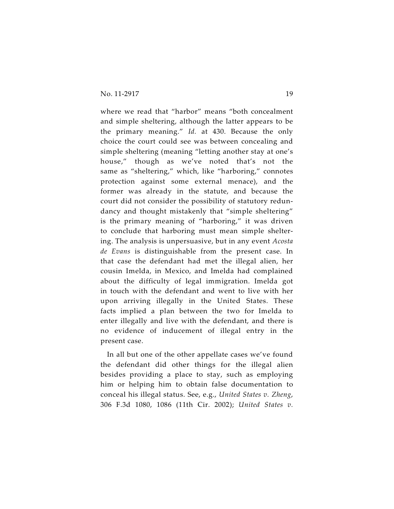where we read that "harbor" means "both concealment and simple sheltering, although the latter appears to be the primary meaning." *Id.* at 430. Because the only choice the court could see was between concealing and simple sheltering (meaning "letting another stay at one's house," though as we've noted that's not the same as "sheltering," which, like "harboring," connotes protection against some external menace), and the former was already in the statute, and because the court did not consider the possibility of statutory redundancy and thought mistakenly that "simple sheltering" is the primary meaning of "harboring," it was driven to conclude that harboring must mean simple sheltering. The analysis is unpersuasive, but in any event *Acosta de Evans* is distinguishable from the present case. In that case the defendant had met the illegal alien, her cousin Imelda, in Mexico, and Imelda had complained about the difficulty of legal immigration. Imelda got in touch with the defendant and went to live with her upon arriving illegally in the United States. These facts implied a plan between the two for Imelda to enter illegally and live with the defendant, and there is no evidence of inducement of illegal entry in the present case.

In all but one of the other appellate cases we've found the defendant did other things for the illegal alien besides providing a place to stay, such as employing him or helping him to obtain false documentation to conceal his illegal status. See, e.g., *United States v. Zheng*, 306 F.3d 1080, 1086 (11th Cir. 2002); *United States v.*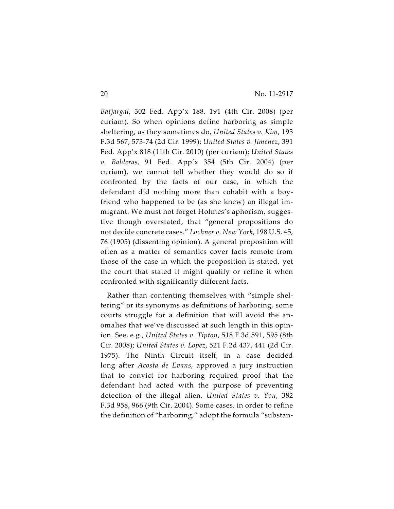*Batjargal*, 302 Fed. App'x 188, 191 (4th Cir. 2008) (per curiam). So when opinions define harboring as simple sheltering, as they sometimes do, *United States v. Kim*, 193 F.3d 567, 573-74 (2d Cir. 1999); *United States v. Jimenez*, 391 Fed. App'x 818 (11th Cir. 2010) (per curiam); *United States v. Balderas*, 91 Fed. App'x 354 (5th Cir. 2004) (per curiam), we cannot tell whether they would do so if confronted by the facts of our case, in which the defendant did nothing more than cohabit with a boyfriend who happened to be (as she knew) an illegal immigrant. We must not forget Holmes's aphorism, suggestive though overstated, that "general propositions do not decide concrete cases." *Lochner v. New York*, 198 U.S. 45, 76 (1905) (dissenting opinion). A general proposition will often as a matter of semantics cover facts remote from those of the case in which the proposition is stated, yet the court that stated it might qualify or refine it when confronted with significantly different facts.

Rather than contenting themselves with "simple sheltering" or its synonyms as definitions of harboring, some courts struggle for a definition that will avoid the anomalies that we've discussed at such length in this opinion. See, e.g., *United States v. Tipton*, 518 F.3d 591, 595 (8th Cir. 2008); *United States v. Lopez*, 521 F.2d 437, 441 (2d Cir. 1975). The Ninth Circuit itself, in a case decided long after *Acosta de Evans*, approved a jury instruction that to convict for harboring required proof that the defendant had acted with the purpose of preventing detection of the illegal alien. *United States v. You*, 382 F.3d 958, 966 (9th Cir. 2004). Some cases, in order to refine the definition of "harboring," adopt the formula "substan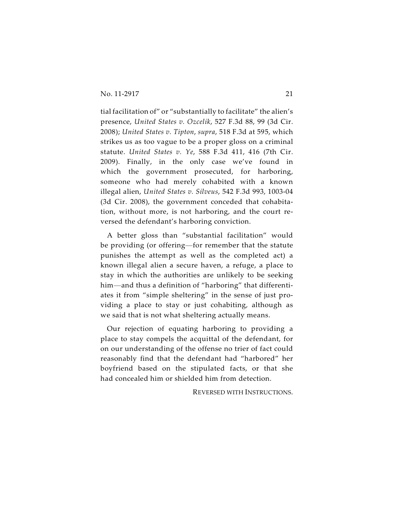tial facilitation of" or "substantially to facilitate" the alien's presence, *United States v. Ozcelik*, 527 F.3d 88, 99 (3d Cir. 2008); *United States v. Tipton*, *supra*, 518 F.3d at 595, which strikes us as too vague to be a proper gloss on a criminal statute. *United States v. Ye*, 588 F.3d 411, 416 (7th Cir. 2009). Finally, in the only case we've found in which the government prosecuted, for harboring, someone who had merely cohabited with a known illegal alien, *United States v. Silveus*, 542 F.3d 993, 1003-04 (3d Cir. 2008), the government conceded that cohabitation, without more, is not harboring, and the court reversed the defendant's harboring conviction.

A better gloss than "substantial facilitation" would be providing (or offering—for remember that the statute punishes the attempt as well as the completed act) a known illegal alien a secure haven, a refuge, a place to stay in which the authorities are unlikely to be seeking him—and thus a definition of "harboring" that differentiates it from "simple sheltering" in the sense of just providing a place to stay or just cohabiting, although as we said that is not what sheltering actually means.

Our rejection of equating harboring to providing a place to stay compels the acquittal of the defendant, for on our understanding of the offense no trier of fact could reasonably find that the defendant had "harbored" her boyfriend based on the stipulated facts, or that she had concealed him or shielded him from detection.

REVERSED WITH INSTRUCTIONS.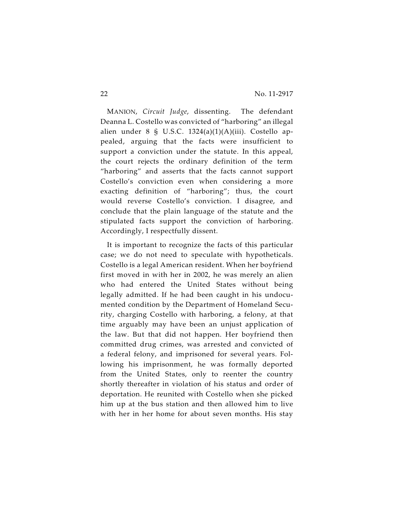MANION, *Circuit Judge*, dissenting. The defendant Deanna L. Costello was convicted of "harboring" an illegal alien under 8 § U.S.C.  $1324(a)(1)(A)(iii)$ . Costello appealed, arguing that the facts were insufficient to support a conviction under the statute. In this appeal, the court rejects the ordinary definition of the term "harboring" and asserts that the facts cannot support Costello's conviction even when considering a more exacting definition of "harboring"; thus, the court would reverse Costello's conviction. I disagree, and conclude that the plain language of the statute and the stipulated facts support the conviction of harboring. Accordingly, I respectfully dissent.

It is important to recognize the facts of this particular case; we do not need to speculate with hypotheticals. Costello is a legal American resident. When her boyfriend first moved in with her in 2002, he was merely an alien who had entered the United States without being legally admitted. If he had been caught in his undocumented condition by the Department of Homeland Security, charging Costello with harboring, a felony, at that time arguably may have been an unjust application of the law. But that did not happen. Her boyfriend then committed drug crimes, was arrested and convicted of a federal felony, and imprisoned for several years. Following his imprisonment, he was formally deported from the United States, only to reenter the country shortly thereafter in violation of his status and order of deportation. He reunited with Costello when she picked him up at the bus station and then allowed him to live with her in her home for about seven months. His stay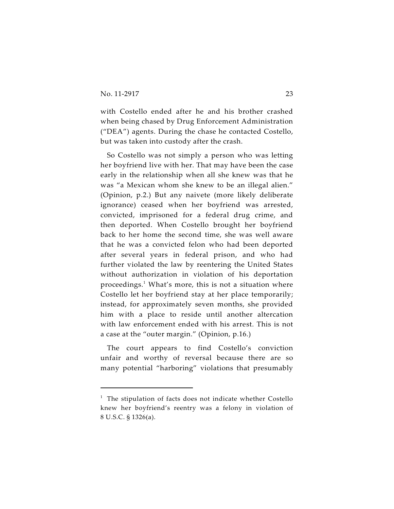with Costello ended after he and his brother crashed when being chased by Drug Enforcement Administration ("DEA") agents. During the chase he contacted Costello, but was taken into custody after the crash.

So Costello was not simply a person who was letting her boyfriend live with her. That may have been the case early in the relationship when all she knew was that he was "a Mexican whom she knew to be an illegal alien." (Opinion, p.2.) But any naivete (more likely deliberate ignorance) ceased when her boyfriend was arrested, convicted, imprisoned for a federal drug crime, and then deported. When Costello brought her boyfriend back to her home the second time, she was well aware that he was a convicted felon who had been deported after several years in federal prison, and who had further violated the law by reentering the United States without authorization in violation of his deportation proceedings. $<sup>1</sup>$  What's more, this is not a situation where</sup> Costello let her boyfriend stay at her place temporarily; instead, for approximately seven months, she provided him with a place to reside until another altercation with law enforcement ended with his arrest. This is not a case at the "outer margin." (Opinion, p.16.)

The court appears to find Costello's conviction unfair and worthy of reversal because there are so many potential "harboring" violations that presumably

 $1$  The stipulation of facts does not indicate whether Costello knew her boyfriend's reentry was a felony in violation of 8 U.S.C. § 1326(a).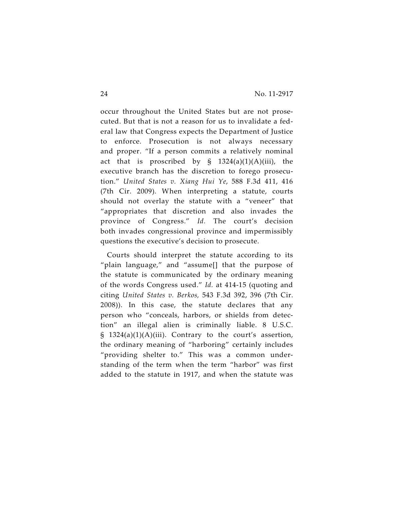occur throughout the United States but are not prosecuted. But that is not a reason for us to invalidate a federal law that Congress expects the Department of Justice to enforce. Prosecution is not always necessary and proper. "If a person commits a relatively nominal act that is proscribed by  $\S$  1324(a)(1)(A)(iii), the executive branch has the discretion to forego prosecution." *United States v. Xiang Hui Ye*, 588 F.3d 411, 416 (7th Cir. 2009). When interpreting a statute, courts should not overlay the statute with a "veneer" that "appropriates that discretion and also invades the province of Congress." *Id.* The court's decision both invades congressional province and impermissibly questions the executive's decision to prosecute.

Courts should interpret the statute according to its "plain language," and "assume[] that the purpose of the statute is communicated by the ordinary meaning of the words Congress used." *Id.* at 414-15 (quoting and citing *United States v. Berkos,* 543 F.3d 392, 396 (7th Cir. 2008)). In this case, the statute declares that any person who "conceals, harbors, or shields from detection" an illegal alien is criminally liable. 8 U.S.C.  $\S$  1324(a)(1)(A)(iii). Contrary to the court's assertion, the ordinary meaning of "harboring" certainly includes "providing shelter to." This was a common understanding of the term when the term "harbor" was first added to the statute in 1917, and when the statute was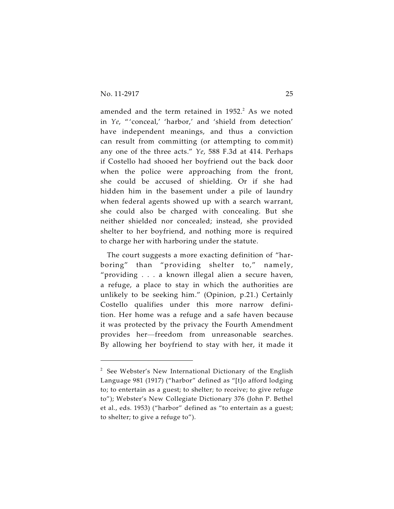amended and the term retained in  $1952.^2$  As we noted in *Ye*, " 'conceal,' 'harbor,' and 'shield from detection' have independent meanings, and thus a conviction can result from committing (or attempting to commit) any one of the three acts." *Ye*, 588 F.3d at 414. Perhaps if Costello had shooed her boyfriend out the back door when the police were approaching from the front, she could be accused of shielding. Or if she had hidden him in the basement under a pile of laundry when federal agents showed up with a search warrant, she could also be charged with concealing. But she neither shielded nor concealed; instead, she provided shelter to her boyfriend, and nothing more is required to charge her with harboring under the statute.

The court suggests a more exacting definition of "harboring" than "providing shelter to," namely, "providing . . . a known illegal alien a secure haven, a refuge, a place to stay in which the authorities are unlikely to be seeking him." (Opinion, p.21.) Certainly Costello qualifies under this more narrow definition. Her home was a refuge and a safe haven because it was protected by the privacy the Fourth Amendment provides her—freedom from unreasonable searches. By allowing her boyfriend to stay with her, it made it

 $2$  See Webster's New International Dictionary of the English Language 981 (1917) ("harbor" defined as "[t]o afford lodging to; to entertain as a guest; to shelter; to receive; to give refuge to"); Webster's New Collegiate Dictionary 376 (John P. Bethel et al., eds. 1953) ("harbor" defined as "to entertain as a guest; to shelter; to give a refuge to").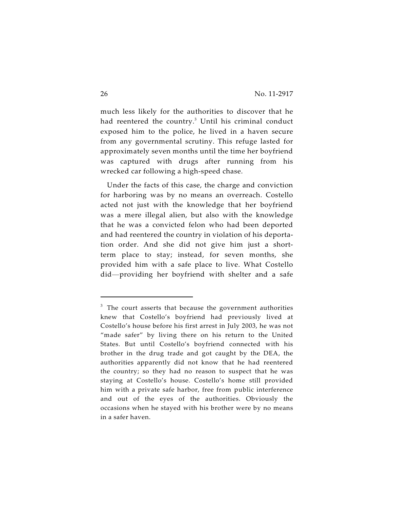much less likely for the authorities to discover that he had reentered the country.<sup>3</sup> Until his criminal conduct exposed him to the police, he lived in a haven secure from any governmental scrutiny. This refuge lasted for approximately seven months until the time her boyfriend was captured with drugs after running from his wrecked car following a high-speed chase.

Under the facts of this case, the charge and conviction for harboring was by no means an overreach. Costello acted not just with the knowledge that her boyfriend was a mere illegal alien, but also with the knowledge that he was a convicted felon who had been deported and had reentered the country in violation of his deportation order. And she did not give him just a shortterm place to stay; instead, for seven months, she provided him with a safe place to live. What Costello did—providing her boyfriend with shelter and a safe

 $3$  The court asserts that because the government authorities knew that Costello's boyfriend had previously lived at Costello's house before his first arrest in July 2003, he was not "made safer" by living there on his return to the United States. But until Costello's boyfriend connected with his brother in the drug trade and got caught by the DEA, the authorities apparently did not know that he had reentered the country; so they had no reason to suspect that he was staying at Costello's house. Costello's home still provided him with a private safe harbor, free from public interference and out of the eyes of the authorities. Obviously the occasions when he stayed with his brother were by no means in a safer haven.